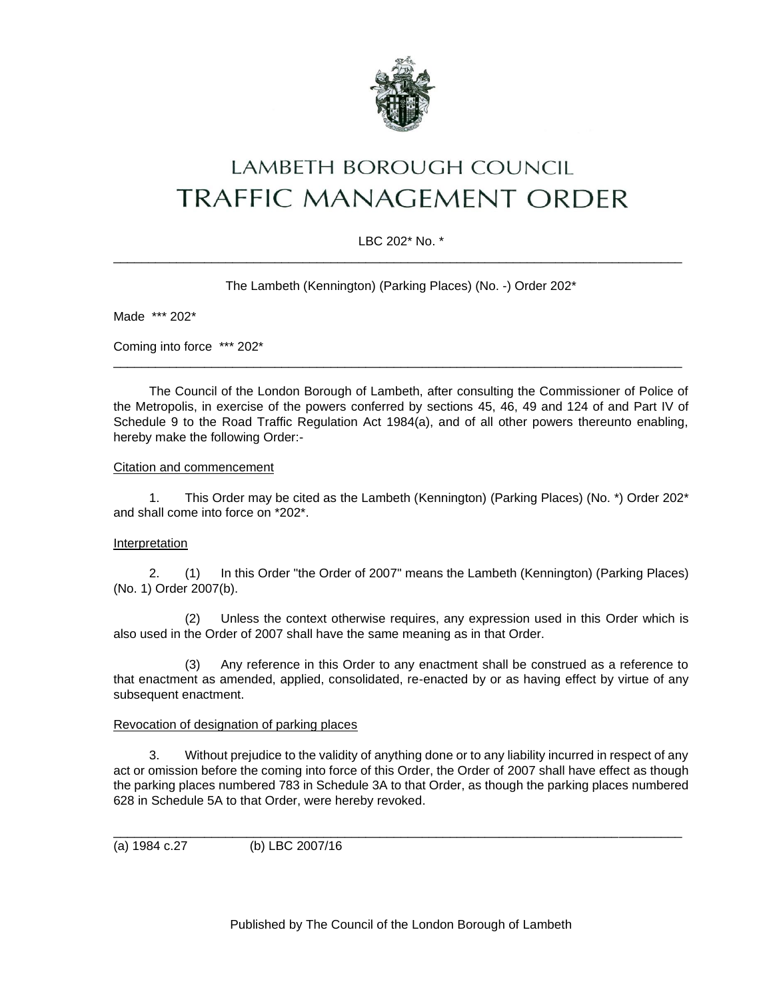

# **LAMBETH BOROUGH COUNCIL TRAFFIC MANAGEMENT ORDER**

# LBC 202\* No. \* \_\_\_\_\_\_\_\_\_\_\_\_\_\_\_\_\_\_\_\_\_\_\_\_\_\_\_\_\_\_\_\_\_\_\_\_\_\_\_\_\_\_\_\_\_\_\_\_\_\_\_\_\_\_\_\_\_\_\_\_\_\_\_\_\_\_\_\_\_\_\_\_\_\_\_\_\_\_\_\_\_

The Lambeth (Kennington) (Parking Places) (No. -) Order 202\*

Made \*\*\* 202\*

Coming into force \*\*\* 202\*

The Council of the London Borough of Lambeth, after consulting the Commissioner of Police of the Metropolis, in exercise of the powers conferred by sections 45, 46, 49 and 124 of and Part IV of Schedule 9 to the Road Traffic Regulation Act 1984(a), and of all other powers thereunto enabling, hereby make the following Order:-

\_\_\_\_\_\_\_\_\_\_\_\_\_\_\_\_\_\_\_\_\_\_\_\_\_\_\_\_\_\_\_\_\_\_\_\_\_\_\_\_\_\_\_\_\_\_\_\_\_\_\_\_\_\_\_\_\_\_\_\_\_\_\_\_\_\_\_\_\_\_\_\_\_\_\_\_\_\_\_\_\_

## Citation and commencement

1. This Order may be cited as the Lambeth (Kennington) (Parking Places) (No. \*) Order 202\* and shall come into force on \*202\*.

## Interpretation

2. (1) In this Order "the Order of 2007" means the Lambeth (Kennington) (Parking Places) (No. 1) Order 2007(b).

(2) Unless the context otherwise requires, any expression used in this Order which is also used in the Order of 2007 shall have the same meaning as in that Order.

(3) Any reference in this Order to any enactment shall be construed as a reference to that enactment as amended, applied, consolidated, re-enacted by or as having effect by virtue of any subsequent enactment.

## Revocation of designation of parking places

3. Without prejudice to the validity of anything done or to any liability incurred in respect of any act or omission before the coming into force of this Order, the Order of 2007 shall have effect as though the parking places numbered 783 in Schedule 3A to that Order, as though the parking places numbered 628 in Schedule 5A to that Order, were hereby revoked.

\_\_\_\_\_\_\_\_\_\_\_\_\_\_\_\_\_\_\_\_\_\_\_\_\_\_\_\_\_\_\_\_\_\_\_\_\_\_\_\_\_\_\_\_\_\_\_\_\_\_\_\_\_\_\_\_\_\_\_\_\_\_\_\_\_\_\_\_\_\_\_\_\_\_\_\_\_\_\_\_\_

(a) 1984 c.27 (b) LBC 2007/16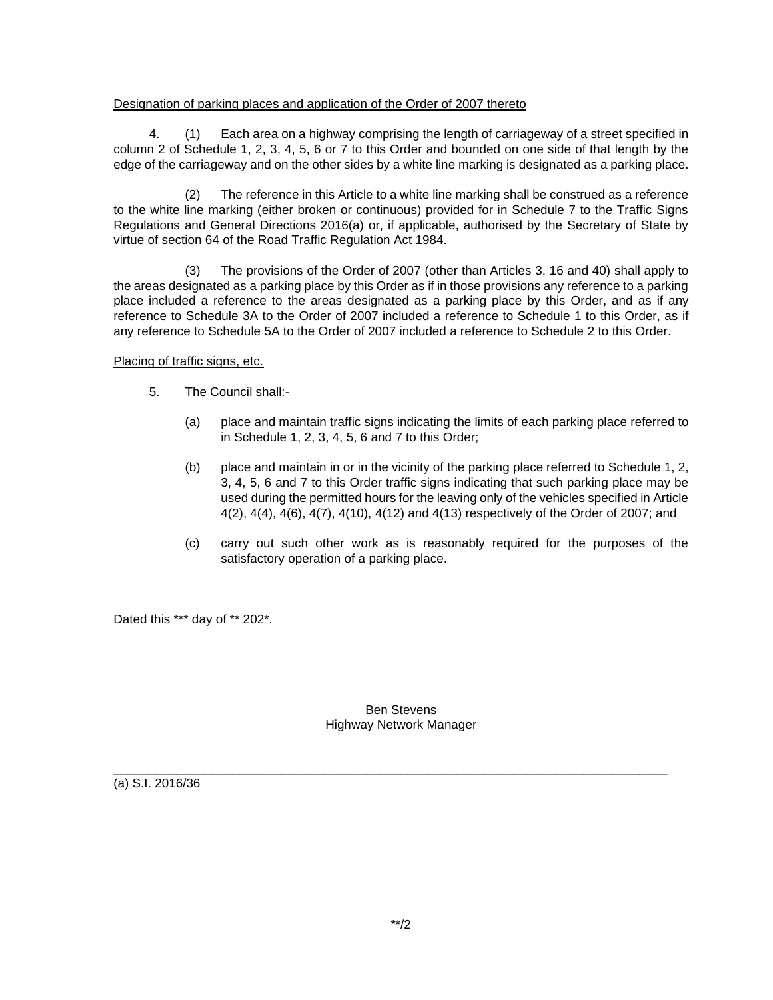## Designation of parking places and application of the Order of 2007 thereto

4. (1) Each area on a highway comprising the length of carriageway of a street specified in column 2 of Schedule 1, 2, 3, 4, 5, 6 or 7 to this Order and bounded on one side of that length by the edge of the carriageway and on the other sides by a white line marking is designated as a parking place.

(2) The reference in this Article to a white line marking shall be construed as a reference to the white line marking (either broken or continuous) provided for in Schedule 7 to the Traffic Signs Regulations and General Directions 2016(a) or, if applicable, authorised by the Secretary of State by virtue of section 64 of the Road Traffic Regulation Act 1984.

(3) The provisions of the Order of 2007 (other than Articles 3, 16 and 40) shall apply to the areas designated as a parking place by this Order as if in those provisions any reference to a parking place included a reference to the areas designated as a parking place by this Order, and as if any reference to Schedule 3A to the Order of 2007 included a reference to Schedule 1 to this Order, as if any reference to Schedule 5A to the Order of 2007 included a reference to Schedule 2 to this Order.

Placing of traffic signs, etc.

- 5. The Council shall:-
	- (a) place and maintain traffic signs indicating the limits of each parking place referred to in Schedule 1, 2, 3, 4, 5, 6 and 7 to this Order;
	- (b) place and maintain in or in the vicinity of the parking place referred to Schedule 1, 2, 3, 4, 5, 6 and 7 to this Order traffic signs indicating that such parking place may be used during the permitted hours for the leaving only of the vehicles specified in Article 4(2), 4(4), 4(6), 4(7), 4(10), 4(12) and 4(13) respectively of the Order of 2007; and
	- (c) carry out such other work as is reasonably required for the purposes of the satisfactory operation of a parking place.

Dated this \*\*\* day of \*\* 202\*.

Ben Stevens Highway Network Manager

\_\_\_\_\_\_\_\_\_\_\_\_\_\_\_\_\_\_\_\_\_\_\_\_\_\_\_\_\_\_\_\_\_\_\_\_\_\_\_\_\_\_\_\_\_\_\_\_\_\_\_\_\_\_\_\_\_\_\_\_\_\_\_\_\_\_\_\_\_\_\_\_\_\_\_\_\_\_\_

(a) S.I. 2016/36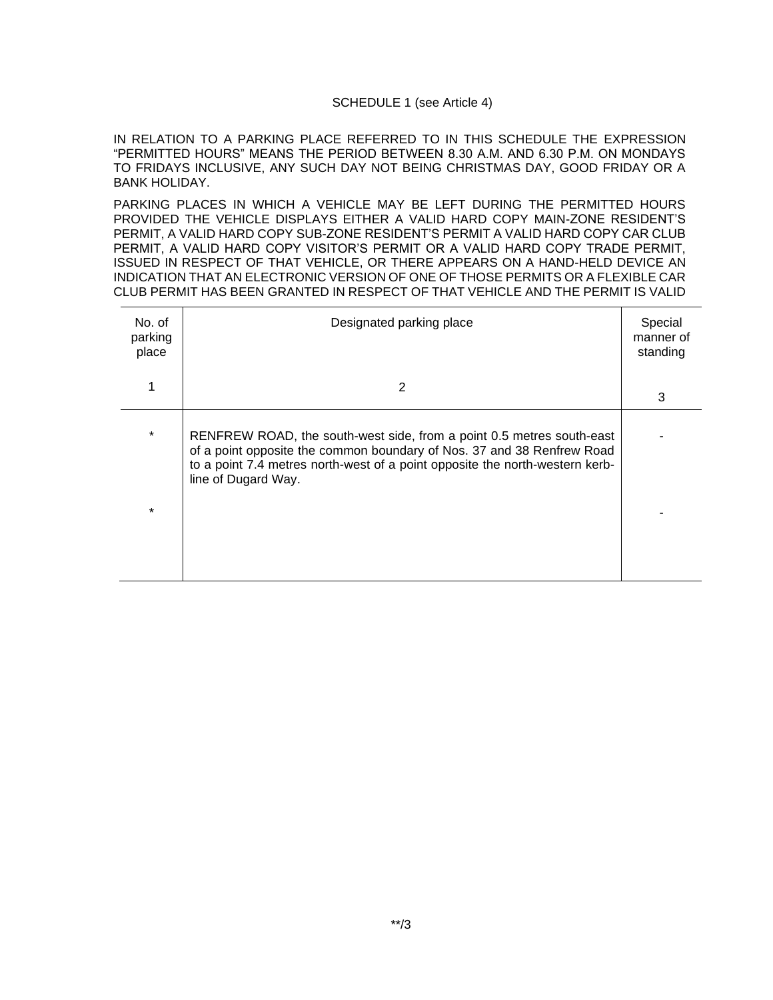#### SCHEDULE 1 (see Article 4)

IN RELATION TO A PARKING PLACE REFERRED TO IN THIS SCHEDULE THE EXPRESSION "PERMITTED HOURS" MEANS THE PERIOD BETWEEN 8.30 A.M. AND 6.30 P.M. ON MONDAYS TO FRIDAYS INCLUSIVE, ANY SUCH DAY NOT BEING CHRISTMAS DAY, GOOD FRIDAY OR A BANK HOLIDAY.

PARKING PLACES IN WHICH A VEHICLE MAY BE LEFT DURING THE PERMITTED HOURS PROVIDED THE VEHICLE DISPLAYS EITHER A VALID HARD COPY MAIN-ZONE RESIDENT'S PERMIT, A VALID HARD COPY SUB-ZONE RESIDENT'S PERMIT A VALID HARD COPY CAR CLUB PERMIT, A VALID HARD COPY VISITOR'S PERMIT OR A VALID HARD COPY TRADE PERMIT, ISSUED IN RESPECT OF THAT VEHICLE, OR THERE APPEARS ON A HAND-HELD DEVICE AN INDICATION THAT AN ELECTRONIC VERSION OF ONE OF THOSE PERMITS OR A FLEXIBLE CAR CLUB PERMIT HAS BEEN GRANTED IN RESPECT OF THAT VEHICLE AND THE PERMIT IS VALID

| No. of<br>parking<br>place | Designated parking place                                                                                                                                                                                                                               | Special<br>manner of<br>standing |
|----------------------------|--------------------------------------------------------------------------------------------------------------------------------------------------------------------------------------------------------------------------------------------------------|----------------------------------|
|                            | 2                                                                                                                                                                                                                                                      | 3                                |
| $\star$                    | RENFREW ROAD, the south-west side, from a point 0.5 metres south-east<br>of a point opposite the common boundary of Nos. 37 and 38 Renfrew Road<br>to a point 7.4 metres north-west of a point opposite the north-western kerb-<br>line of Dugard Way. |                                  |
| $\star$                    |                                                                                                                                                                                                                                                        |                                  |